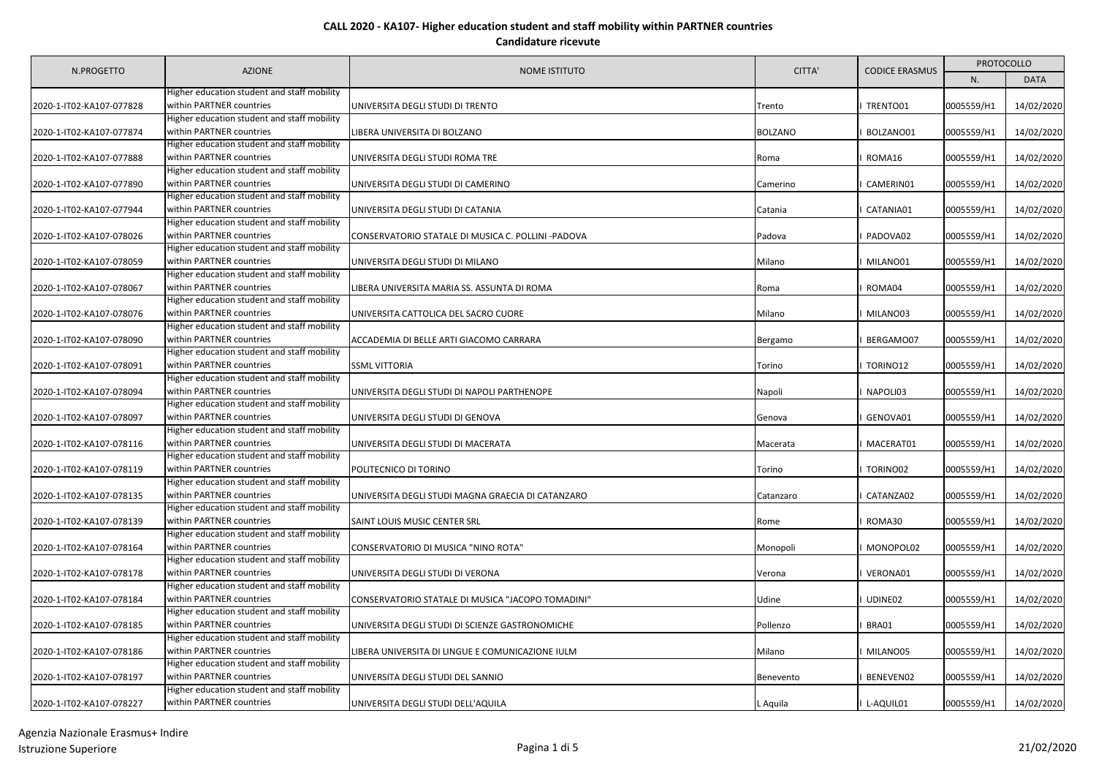|                          |                                             | <b>AZIONE</b><br><b>NOME ISTITUTO</b>              | CITTA'         | <b>CODICE ERASMUS</b> | <b>PROTOCOLLO</b> |             |
|--------------------------|---------------------------------------------|----------------------------------------------------|----------------|-----------------------|-------------------|-------------|
| N.PROGETTO               |                                             |                                                    |                |                       | N.                | <b>DATA</b> |
|                          | Higher education student and staff mobility |                                                    |                |                       |                   |             |
| 2020-1-IT02-KA107-077828 | within PARTNER countries                    | UNIVERSITA DEGLI STUDI DI TRENTO                   | Trento         | TRENTO01              | 0005559/H1        | 14/02/2020  |
|                          | Higher education student and staff mobility |                                                    |                |                       |                   |             |
| 2020-1-IT02-KA107-077874 | within PARTNER countries                    | LIBERA UNIVERSITA DI BOLZANO                       | <b>BOLZANO</b> | BOLZANO01             | 0005559/H1        | 14/02/2020  |
|                          | Higher education student and staff mobility |                                                    |                |                       |                   |             |
| 2020-1-IT02-KA107-077888 | within PARTNER countries                    | UNIVERSITA DEGLI STUDI ROMA TRE                    | Roma           | ROMA16                | 0005559/H1        | 14/02/2020  |
|                          | Higher education student and staff mobility |                                                    |                |                       |                   |             |
| 2020-1-IT02-KA107-077890 | within PARTNER countries                    | UNIVERSITA DEGLI STUDI DI CAMERINO                 | Camerino       | CAMERIN01             | 0005559/H1        | 14/02/2020  |
|                          | Higher education student and staff mobility |                                                    |                |                       |                   |             |
| 2020-1-IT02-KA107-077944 | within PARTNER countries                    | UNIVERSITA DEGLI STUDI DI CATANIA                  | Catania        | CATANIA01             | 0005559/H1        | 14/02/2020  |
|                          | Higher education student and staff mobility |                                                    |                |                       |                   |             |
| 2020-1-IT02-KA107-078026 | within PARTNER countries                    | CONSERVATORIO STATALE DI MUSICA C. POLLINI -PADOVA | Padova         | PADOVA02              | 0005559/H1        | 14/02/2020  |
|                          | Higher education student and staff mobility |                                                    |                |                       |                   |             |
| 2020-1-IT02-KA107-078059 | within PARTNER countries                    | UNIVERSITA DEGLI STUDI DI MILANO                   | Milano         | MILANO01              | 0005559/H1        | 14/02/2020  |
|                          | Higher education student and staff mobility |                                                    |                |                       |                   |             |
| 2020-1-IT02-KA107-078067 | within PARTNER countries                    | LIBERA UNIVERSITA MARIA SS. ASSUNTA DI ROMA        | Roma           | ROMA04                | 0005559/H1        | 14/02/2020  |
|                          | Higher education student and staff mobility |                                                    |                |                       |                   |             |
| 2020-1-IT02-KA107-078076 | within PARTNER countries                    | UNIVERSITA CATTOLICA DEL SACRO CUORE               | Milano         | MILANO03              | 0005559/H1        | 14/02/2020  |
|                          | Higher education student and staff mobility |                                                    |                |                       |                   |             |
| 2020-1-IT02-KA107-078090 | within PARTNER countries                    | ACCADEMIA DI BELLE ARTI GIACOMO CARRARA            | Bergamo        | BERGAMO07             | 0005559/H1        | 14/02/2020  |
|                          | Higher education student and staff mobility |                                                    |                |                       |                   |             |
| 2020-1-IT02-KA107-078091 | within PARTNER countries                    | <b>SSML VITTORIA</b>                               | Torino         | TORINO12              | 0005559/H1        | 14/02/2020  |
|                          | Higher education student and staff mobility |                                                    |                |                       |                   |             |
| 2020-1-IT02-KA107-078094 | within PARTNER countries                    | UNIVERSITA DEGLI STUDI DI NAPOLI PARTHENOPE        | Napoli         | NAPOLI03              | 0005559/H1        | 14/02/2020  |
|                          | Higher education student and staff mobility |                                                    |                |                       |                   |             |
| 2020-1-IT02-KA107-078097 | within PARTNER countries                    | UNIVERSITA DEGLI STUDI DI GENOVA                   | Genova         | GENOVA01              | 0005559/H1        | 14/02/2020  |
|                          | Higher education student and staff mobility |                                                    |                |                       |                   |             |
| 2020-1-IT02-KA107-078116 | within PARTNER countries                    | UNIVERSITA DEGLI STUDI DI MACERATA                 | Macerata       | MACERAT01             | 0005559/H1        | 14/02/2020  |
|                          | Higher education student and staff mobility |                                                    |                |                       |                   |             |
| 2020-1-IT02-KA107-078119 | within PARTNER countries                    | POLITECNICO DI TORINO                              | Torino         | TORINO02              | 0005559/H1        | 14/02/2020  |
|                          | Higher education student and staff mobility |                                                    |                |                       |                   |             |
| 2020-1-IT02-KA107-078135 | within PARTNER countries                    | UNIVERSITA DEGLI STUDI MAGNA GRAECIA DI CATANZARO  | Catanzaro      | CATANZA02             | 0005559/H1        | 14/02/2020  |
|                          | Higher education student and staff mobility |                                                    |                |                       |                   |             |
| 2020-1-IT02-KA107-078139 | within PARTNER countries                    | SAINT LOUIS MUSIC CENTER SRL                       | Rome           | ROMA30                | 0005559/H1        | 14/02/2020  |
|                          | Higher education student and staff mobility |                                                    |                |                       |                   |             |
| 2020-1-IT02-KA107-078164 | within PARTNER countries                    | CONSERVATORIO DI MUSICA "NINO ROTA"                | Monopoli       | MONOPOL02             | 0005559/H1        | 14/02/2020  |
|                          | Higher education student and staff mobility |                                                    |                |                       |                   |             |
| 2020-1-IT02-KA107-078178 | within PARTNER countries                    | UNIVERSITA DEGLI STUDI DI VERONA                   | Verona         | VERONA01              | 0005559/H1        | 14/02/2020  |
|                          | Higher education student and staff mobility |                                                    |                |                       |                   |             |
| 2020-1-IT02-KA107-078184 | within PARTNER countries                    | CONSERVATORIO STATALE DI MUSICA "JACOPO TOMADINI"  | Udine          | UDINE02               | 0005559/H1        | 14/02/2020  |
|                          | Higher education student and staff mobility |                                                    |                |                       |                   |             |
| 2020-1-IT02-KA107-078185 | within PARTNER countries                    | UNIVERSITA DEGLI STUDI DI SCIENZE GASTRONOMICHE    | Pollenzo       | BRA01                 | 0005559/H1        | 14/02/2020  |
|                          | Higher education student and staff mobility |                                                    |                |                       |                   |             |
| 2020-1-IT02-KA107-078186 | within PARTNER countries                    | LIBERA UNIVERSITA DI LINGUE E COMUNICAZIONE IULM   | Milano         | MILANO05              | 0005559/H1        | 14/02/2020  |
|                          | Higher education student and staff mobility |                                                    |                |                       |                   |             |
| 2020-1-IT02-KA107-078197 | within PARTNER countries                    | UNIVERSITA DEGLI STUDI DEL SANNIO                  | Benevento      | BENEVEN02             | 0005559/H1        | 14/02/2020  |
|                          | Higher education student and staff mobility |                                                    |                |                       |                   |             |
| 2020-1-IT02-KA107-078227 | within PARTNER countries                    | UNIVERSITA DEGLI STUDI DELL'AQUILA                 | L Aguila       | I L-AQUIL01           | 0005559/H1        | 14/02/2020  |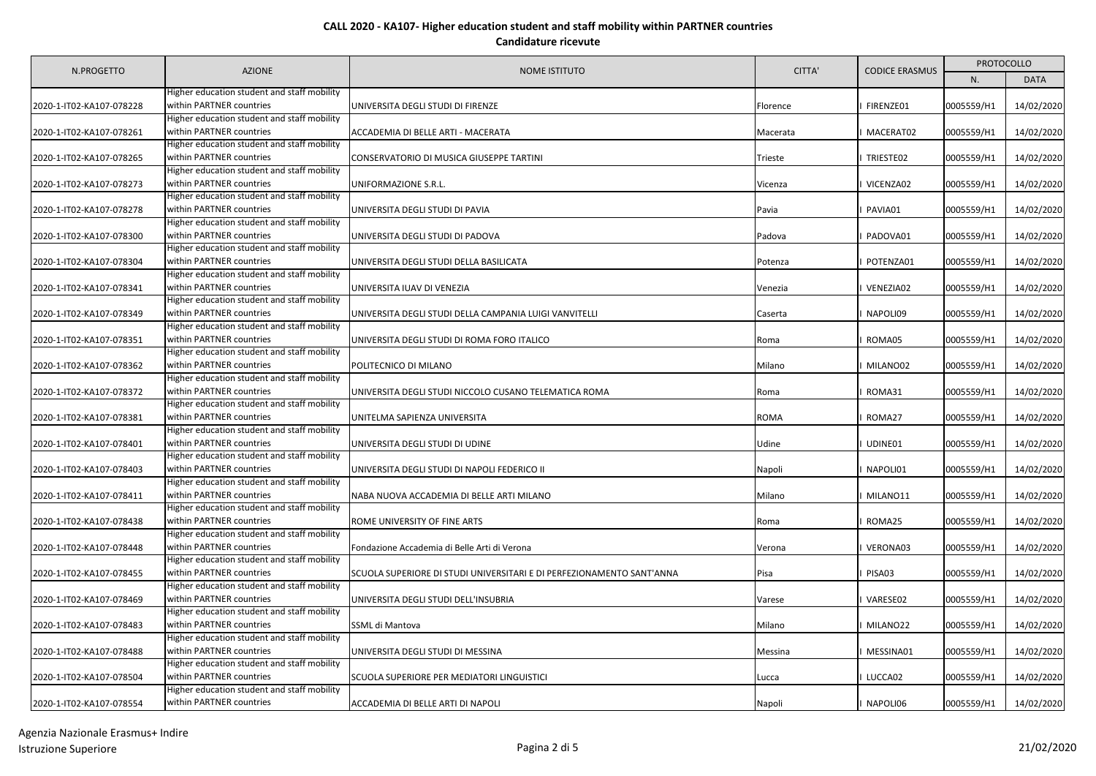|                          | <b>AZIONE</b>                                                           | <b>NOME ISTITUTO</b>                                                  | CITTA'      | <b>CODICE ERASMUS</b> | <b>PROTOCOLLO</b> |             |
|--------------------------|-------------------------------------------------------------------------|-----------------------------------------------------------------------|-------------|-----------------------|-------------------|-------------|
| N.PROGETTO               |                                                                         |                                                                       |             |                       | N.                | <b>DATA</b> |
|                          | Higher education student and staff mobility                             |                                                                       |             |                       |                   |             |
| 2020-1-IT02-KA107-078228 | within PARTNER countries                                                | UNIVERSITA DEGLI STUDI DI FIRENZE                                     | Florence    | FIRENZE01             | 0005559/H1        | 14/02/2020  |
|                          | Higher education student and staff mobility                             |                                                                       |             |                       |                   |             |
| 2020-1-IT02-KA107-078261 | within PARTNER countries                                                | ACCADEMIA DI BELLE ARTI - MACERATA                                    | Macerata    | MACERAT02             | 0005559/H1        | 14/02/2020  |
|                          | Higher education student and staff mobility                             |                                                                       |             |                       |                   |             |
| 2020-1-IT02-KA107-078265 | within PARTNER countries                                                | CONSERVATORIO DI MUSICA GIUSEPPE TARTINI                              | Trieste     | TRIESTE02             | 0005559/H1        | 14/02/2020  |
|                          | Higher education student and staff mobility                             |                                                                       |             |                       |                   |             |
| 2020-1-IT02-KA107-078273 | within PARTNER countries                                                | UNIFORMAZIONE S.R.L.                                                  | Vicenza     | VICENZA02             | 0005559/H1        | 14/02/2020  |
|                          | Higher education student and staff mobility                             |                                                                       |             |                       |                   |             |
| 2020-1-IT02-KA107-078278 | within PARTNER countries                                                | UNIVERSITA DEGLI STUDI DI PAVIA                                       | Pavia       | PAVIA01               | 0005559/H1        | 14/02/2020  |
|                          | Higher education student and staff mobility                             |                                                                       |             |                       |                   |             |
| 2020-1-IT02-KA107-078300 | within PARTNER countries                                                | UNIVERSITA DEGLI STUDI DI PADOVA                                      | Padova      | PADOVA01              | 0005559/H1        | 14/02/2020  |
|                          | Higher education student and staff mobility                             |                                                                       |             |                       |                   |             |
| 2020-1-IT02-KA107-078304 | within PARTNER countries                                                | UNIVERSITA DEGLI STUDI DELLA BASILICATA                               | Potenza     | POTENZA01             | 0005559/H1        | 14/02/2020  |
|                          | Higher education student and staff mobility                             |                                                                       |             |                       |                   |             |
| 2020-1-IT02-KA107-078341 | within PARTNER countries                                                | UNIVERSITA IUAV DI VENEZIA                                            | Venezia     | VENEZIA02             | 0005559/H1        | 14/02/2020  |
|                          | Higher education student and staff mobility                             |                                                                       |             |                       |                   |             |
| 2020-1-IT02-KA107-078349 | within PARTNER countries                                                | UNIVERSITA DEGLI STUDI DELLA CAMPANIA LUIGI VANVITELLI                | Caserta     | NAPOLI09              | 0005559/H1        | 14/02/2020  |
|                          | Higher education student and staff mobility                             |                                                                       |             |                       |                   |             |
| 2020-1-IT02-KA107-078351 | within PARTNER countries                                                | UNIVERSITA DEGLI STUDI DI ROMA FORO ITALICO                           | Roma        | ROMA05                | 0005559/H1        | 14/02/2020  |
|                          | Higher education student and staff mobility                             |                                                                       |             |                       |                   |             |
| 2020-1-IT02-KA107-078362 | within PARTNER countries                                                | POLITECNICO DI MILANO                                                 | Milano      | MILANO02              | 0005559/H1        | 14/02/2020  |
|                          | Higher education student and staff mobility                             |                                                                       |             |                       |                   |             |
| 2020-1-IT02-KA107-078372 | within PARTNER countries                                                | UNIVERSITA DEGLI STUDI NICCOLO CUSANO TELEMATICA ROMA                 | Roma        | ROMA31                | 0005559/H1        | 14/02/2020  |
|                          | Higher education student and staff mobility                             |                                                                       |             |                       |                   |             |
| 2020-1-IT02-KA107-078381 | within PARTNER countries                                                | UNITELMA SAPIENZA UNIVERSITA                                          | <b>ROMA</b> | ROMA27                | 0005559/H1        | 14/02/2020  |
| 2020-1-IT02-KA107-078401 | Higher education student and staff mobility<br>within PARTNER countries | UNIVERSITA DEGLI STUDI DI UDINE                                       | Udine       | UDINE01               | 0005559/H1        | 14/02/2020  |
|                          | Higher education student and staff mobility                             |                                                                       |             |                       |                   |             |
| 2020-1-IT02-KA107-078403 | within PARTNER countries                                                | UNIVERSITA DEGLI STUDI DI NAPOLI FEDERICO II                          | Napoli      | NAPOLI01              | 0005559/H1        | 14/02/2020  |
|                          | Higher education student and staff mobility                             |                                                                       |             |                       |                   |             |
| 2020-1-IT02-KA107-078411 | within PARTNER countries                                                | NABA NUOVA ACCADEMIA DI BELLE ARTI MILANO                             | Milano      | MILANO11              | 0005559/H1        | 14/02/2020  |
|                          | Higher education student and staff mobility                             |                                                                       |             |                       |                   |             |
| 2020-1-IT02-KA107-078438 | within PARTNER countries                                                | ROME UNIVERSITY OF FINE ARTS                                          | Roma        | ROMA25                | 0005559/H1        | 14/02/2020  |
|                          | Higher education student and staff mobility                             |                                                                       |             |                       |                   |             |
| 2020-1-IT02-KA107-078448 | within PARTNER countries                                                | Fondazione Accademia di Belle Arti di Verona                          | Verona      | VERONA03              | 0005559/H1        | 14/02/2020  |
|                          | Higher education student and staff mobility                             |                                                                       |             |                       |                   |             |
| 2020-1-IT02-KA107-078455 | within PARTNER countries                                                | SCUOLA SUPERIORE DI STUDI UNIVERSITARI E DI PERFEZIONAMENTO SANT'ANNA | Pisa        | PISA03                | 0005559/H1        | 14/02/2020  |
|                          | Higher education student and staff mobility                             |                                                                       |             |                       |                   |             |
| 2020-1-IT02-KA107-078469 | within PARTNER countries                                                | UNIVERSITA DEGLI STUDI DELL'INSUBRIA                                  | Varese      | VARESE02              | 0005559/H1        | 14/02/2020  |
|                          | Higher education student and staff mobility                             |                                                                       |             |                       |                   |             |
| 2020-1-IT02-KA107-078483 | within PARTNER countries                                                | SSML di Mantova                                                       | Milano      | MILANO22              | 0005559/H1        | 14/02/2020  |
|                          | Higher education student and staff mobility                             |                                                                       |             |                       |                   |             |
| 2020-1-IT02-KA107-078488 | within PARTNER countries                                                | UNIVERSITA DEGLI STUDI DI MESSINA                                     | Messina     | MESSINA01             | 0005559/H1        | 14/02/2020  |
|                          | Higher education student and staff mobility                             |                                                                       |             |                       |                   |             |
| 2020-1-IT02-KA107-078504 | within PARTNER countries                                                | SCUOLA SUPERIORE PER MEDIATORI LINGUISTICI                            | Lucca       | LUCCA02               | 0005559/H1        | 14/02/2020  |
|                          | Higher education student and staff mobility                             |                                                                       |             |                       |                   |             |
| 2020-1-IT02-KA107-078554 | within PARTNER countries                                                | ACCADEMIA DI BELLE ARTI DI NAPOLI                                     | Napoli      | I NAPOLI06            | 0005559/H1        | 14/02/2020  |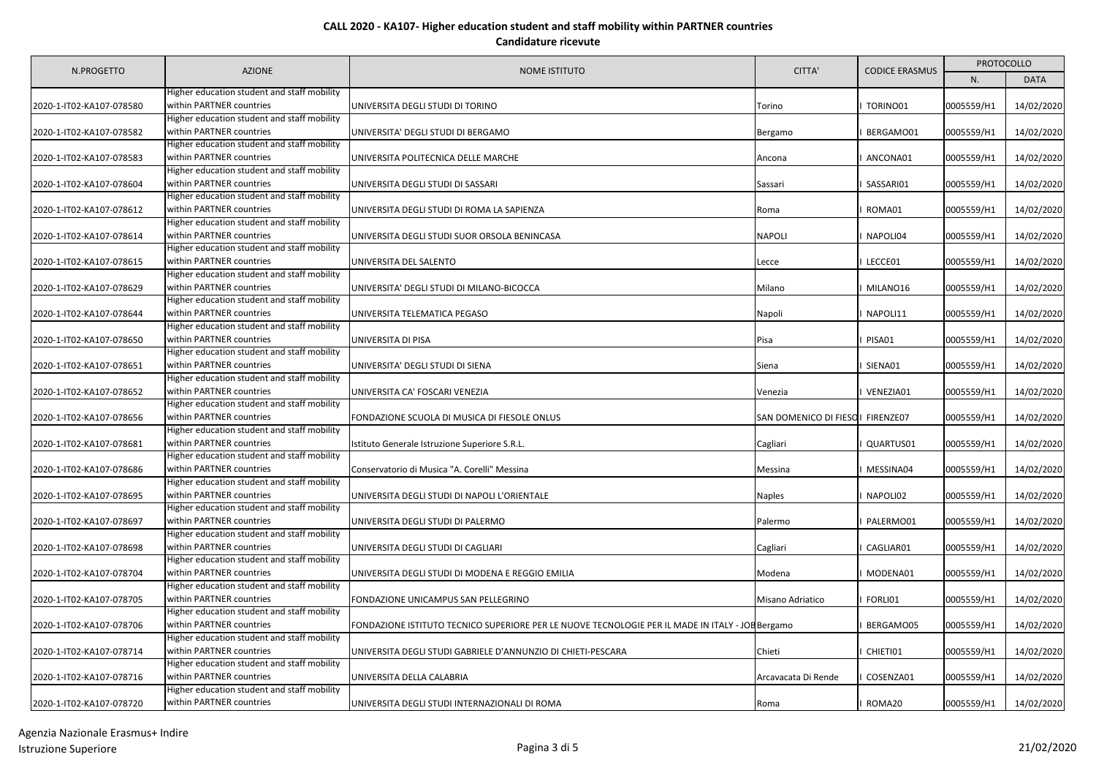|                          | <b>AZIONE</b>                                                           | <b>NOME ISTITUTO</b>                                                                            | CITTA'                            | <b>CODICE ERASMUS</b> | <b>PROTOCOLLO</b> |             |
|--------------------------|-------------------------------------------------------------------------|-------------------------------------------------------------------------------------------------|-----------------------------------|-----------------------|-------------------|-------------|
| N.PROGETTO               |                                                                         |                                                                                                 |                                   |                       | N.                | <b>DATA</b> |
|                          | Higher education student and staff mobility                             |                                                                                                 |                                   |                       |                   |             |
| 2020-1-IT02-KA107-078580 | within PARTNER countries                                                | UNIVERSITA DEGLI STUDI DI TORINO                                                                | Torino                            | TORINO01              | 0005559/H1        | 14/02/2020  |
|                          | Higher education student and staff mobility                             |                                                                                                 |                                   |                       |                   |             |
| 2020-1-IT02-KA107-078582 | within PARTNER countries                                                | UNIVERSITA' DEGLI STUDI DI BERGAMO                                                              | Bergamo                           | BERGAMO01             | 0005559/H1        | 14/02/2020  |
|                          | Higher education student and staff mobility                             |                                                                                                 |                                   |                       |                   |             |
| 2020-1-IT02-KA107-078583 | within PARTNER countries                                                | UNIVERSITA POLITECNICA DELLE MARCHE                                                             | Ancona                            | ANCONA01              | 0005559/H1        | 14/02/2020  |
|                          | Higher education student and staff mobility                             |                                                                                                 |                                   |                       |                   |             |
| 2020-1-IT02-KA107-078604 | within PARTNER countries                                                | UNIVERSITA DEGLI STUDI DI SASSARI                                                               | Sassari                           | SASSARI01             | 0005559/H1        | 14/02/2020  |
|                          | Higher education student and staff mobility                             |                                                                                                 |                                   |                       |                   |             |
| 2020-1-IT02-KA107-078612 | within PARTNER countries                                                | UNIVERSITA DEGLI STUDI DI ROMA LA SAPIENZA                                                      | Roma                              | ROMA01                | 0005559/H1        | 14/02/2020  |
|                          | Higher education student and staff mobility                             |                                                                                                 |                                   |                       |                   |             |
| 2020-1-IT02-KA107-078614 | within PARTNER countries                                                | UNIVERSITA DEGLI STUDI SUOR ORSOLA BENINCASA                                                    | <b>NAPOLI</b>                     | NAPOLI04              | 0005559/H1        | 14/02/2020  |
|                          | Higher education student and staff mobility                             |                                                                                                 |                                   |                       |                   |             |
| 2020-1-IT02-KA107-078615 | within PARTNER countries                                                | UNIVERSITA DEL SALENTO                                                                          | Lecce                             | LECCE01               | 0005559/H1        | 14/02/2020  |
|                          | Higher education student and staff mobility                             |                                                                                                 |                                   |                       |                   |             |
| 2020-1-IT02-KA107-078629 | within PARTNER countries                                                | UNIVERSITA' DEGLI STUDI DI MILANO-BICOCCA                                                       | Milano                            | MILANO16              | 0005559/H1        | 14/02/2020  |
|                          | Higher education student and staff mobility                             |                                                                                                 |                                   |                       |                   |             |
| 2020-1-IT02-KA107-078644 | within PARTNER countries                                                | UNIVERSITA TELEMATICA PEGASO                                                                    | Napoli                            | NAPOLI11              | 0005559/H1        | 14/02/2020  |
|                          | Higher education student and staff mobility                             |                                                                                                 |                                   |                       |                   |             |
| 2020-1-IT02-KA107-078650 | within PARTNER countries                                                | UNIVERSITA DI PISA                                                                              | Pisa                              | PISA01                | 0005559/H1        | 14/02/2020  |
|                          | Higher education student and staff mobility                             |                                                                                                 |                                   |                       |                   |             |
| 2020-1-IT02-KA107-078651 | within PARTNER countries                                                | UNIVERSITA' DEGLI STUDI DI SIENA                                                                | Siena                             | SIENA01               | 0005559/H1        | 14/02/2020  |
|                          | Higher education student and staff mobility                             |                                                                                                 |                                   |                       |                   |             |
| 2020-1-IT02-KA107-078652 | within PARTNER countries                                                | UNIVERSITA CA' FOSCARI VENEZIA                                                                  | Venezia                           | VENEZIA01             | 0005559/H1        | 14/02/2020  |
|                          | Higher education student and staff mobility                             |                                                                                                 |                                   |                       |                   |             |
| 2020-1-IT02-KA107-078656 | within PARTNER countries                                                | FONDAZIONE SCUOLA DI MUSICA DI FIESOLE ONLUS                                                    | SAN DOMENICO DI FIESO I FIRENZE07 |                       | 0005559/H1        | 14/02/2020  |
|                          | Higher education student and staff mobility<br>within PARTNER countries |                                                                                                 |                                   |                       |                   |             |
| 2020-1-IT02-KA107-078681 | Higher education student and staff mobility                             | Istituto Generale Istruzione Superiore S.R.L.                                                   | Cagliari                          | QUARTUS01             | 0005559/H1        | 14/02/2020  |
| 2020-1-IT02-KA107-078686 | within PARTNER countries                                                | Conservatorio di Musica "A. Corelli" Messina                                                    | Messina                           | MESSINA04             | 0005559/H1        | 14/02/2020  |
|                          | Higher education student and staff mobility                             |                                                                                                 |                                   |                       |                   |             |
| 2020-1-IT02-KA107-078695 | within PARTNER countries                                                | UNIVERSITA DEGLI STUDI DI NAPOLI L'ORIENTALE                                                    | Naples                            | NAPOLI02              | 0005559/H1        | 14/02/2020  |
|                          | ligher education student and staff mobility                             |                                                                                                 |                                   |                       |                   |             |
| 2020-1-IT02-KA107-078697 | within PARTNER countries                                                | UNIVERSITA DEGLI STUDI DI PALERMO                                                               | Palermo                           | PALERMO01             | 0005559/H1        | 14/02/2020  |
|                          | Higher education student and staff mobility                             |                                                                                                 |                                   |                       |                   |             |
| 2020-1-IT02-KA107-078698 | within PARTNER countries                                                | UNIVERSITA DEGLI STUDI DI CAGLIARI                                                              | Cagliari                          | CAGLIAR01             | 0005559/H1        | 14/02/2020  |
|                          | ligher education student and staff mobility                             |                                                                                                 |                                   |                       |                   |             |
| 2020-1-IT02-KA107-078704 | within PARTNER countries                                                | UNIVERSITA DEGLI STUDI DI MODENA E REGGIO EMILIA                                                | Modena                            | MODENA01              | 0005559/H1        | 14/02/2020  |
|                          | Higher education student and staff mobility                             |                                                                                                 |                                   |                       |                   |             |
| 2020-1-IT02-KA107-078705 | within PARTNER countries                                                | FONDAZIONE UNICAMPUS SAN PELLEGRINO                                                             | Misano Adriatico                  | FORLI01               | 0005559/H1        | 14/02/2020  |
|                          | ligher education student and staff mobility                             |                                                                                                 |                                   |                       |                   |             |
| 2020-1-IT02-KA107-078706 | within PARTNER countries                                                | FONDAZIONE ISTITUTO TECNICO SUPERIORE PER LE NUOVE TECNOLOGIE PER IL MADE IN ITALY - JOEBergamo |                                   | BERGAMO05             | 0005559/H1        | 14/02/2020  |
|                          | Higher education student and staff mobility                             |                                                                                                 |                                   |                       |                   |             |
| 2020-1-IT02-KA107-078714 | within PARTNER countries                                                | UNIVERSITA DEGLI STUDI GABRIELE D'ANNUNZIO DI CHIETI-PESCARA                                    | Chieti                            | CHIETI01              | 0005559/H1        | 14/02/2020  |
|                          | Higher education student and staff mobility                             |                                                                                                 |                                   |                       |                   |             |
| 2020-1-IT02-KA107-078716 | within PARTNER countries                                                | UNIVERSITA DELLA CALABRIA                                                                       | Arcavacata Di Rende               | COSENZA01             | 0005559/H1        | 14/02/2020  |
|                          | Higher education student and staff mobility                             |                                                                                                 |                                   |                       |                   |             |
| 2020-1-IT02-KA107-078720 | within PARTNER countries                                                | UNIVERSITA DEGLI STUDI INTERNAZIONALI DI ROMA                                                   | Roma                              | I ROMA20              | 0005559/H1        | 14/02/2020  |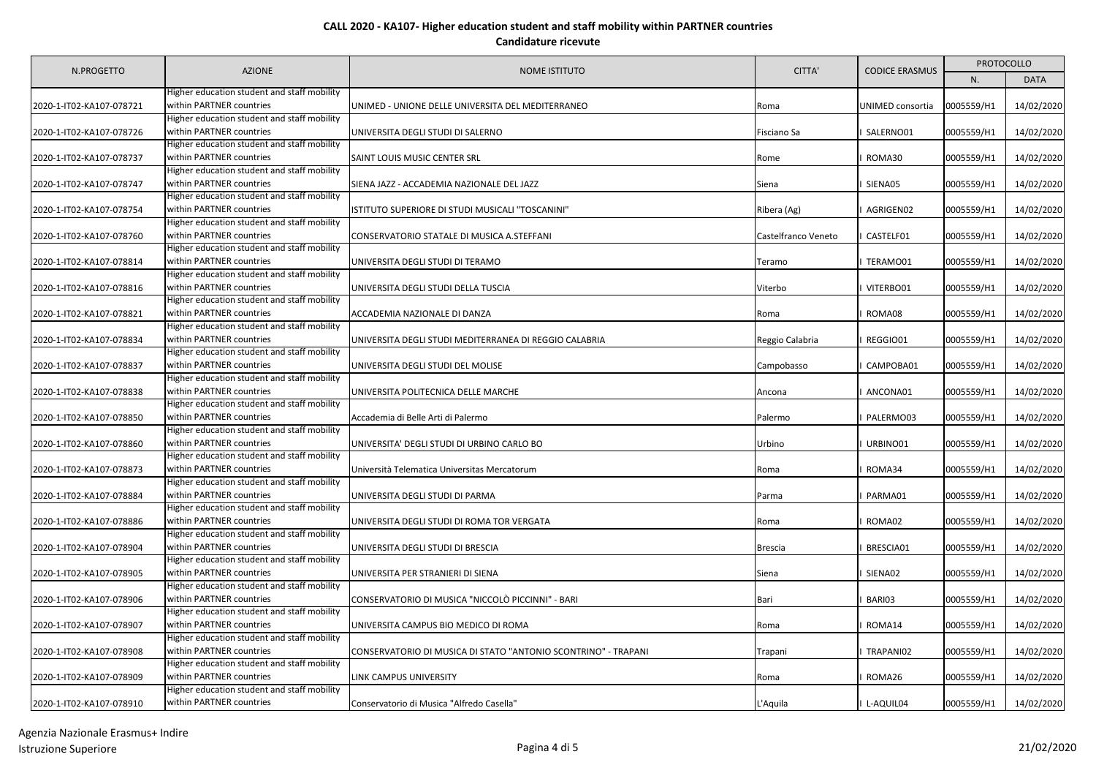| N.PROGETTO               | <b>AZIONE</b>                                                           | <b>NOME ISTITUTO</b>                                           | CITTA'              | <b>CODICE ERASMUS</b> | <b>PROTOCOLLO</b> |             |
|--------------------------|-------------------------------------------------------------------------|----------------------------------------------------------------|---------------------|-----------------------|-------------------|-------------|
|                          |                                                                         |                                                                |                     |                       | N.                | <b>DATA</b> |
|                          | Higher education student and staff mobility                             |                                                                |                     |                       |                   |             |
| 2020-1-IT02-KA107-078721 | within PARTNER countries                                                | UNIMED - UNIONE DELLE UNIVERSITA DEL MEDITERRANEO              | Roma                | UNIMED consortia      | 0005559/H1        | 14/02/2020  |
|                          | Higher education student and staff mobility                             |                                                                |                     |                       |                   |             |
| 2020-1-IT02-KA107-078726 | within PARTNER countries                                                | UNIVERSITA DEGLI STUDI DI SALERNO                              | Fisciano Sa         | SALERNO01             | 0005559/H1        | 14/02/2020  |
|                          | Higher education student and staff mobility                             |                                                                |                     |                       |                   |             |
| 2020-1-IT02-KA107-078737 | within PARTNER countries                                                | SAINT LOUIS MUSIC CENTER SRL                                   | Rome                | ROMA30                | 0005559/H1        | 14/02/2020  |
|                          | Higher education student and staff mobility                             |                                                                |                     |                       |                   |             |
| 2020-1-IT02-KA107-078747 | within PARTNER countries                                                | SIENA JAZZ - ACCADEMIA NAZIONALE DEL JAZZ                      | Siena               | SIENA05               | 0005559/H1        | 14/02/2020  |
|                          | Higher education student and staff mobility                             |                                                                |                     |                       |                   |             |
| 2020-1-IT02-KA107-078754 | within PARTNER countries                                                | ISTITUTO SUPERIORE DI STUDI MUSICALI "TOSCANINI"               | Ribera (Ag)         | AGRIGEN02             | 0005559/H1        | 14/02/2020  |
|                          | Higher education student and staff mobility                             |                                                                |                     |                       |                   |             |
| 2020-1-IT02-KA107-078760 | within PARTNER countries                                                | CONSERVATORIO STATALE DI MUSICA A.STEFFANI                     | Castelfranco Veneto | CASTELF01             | 0005559/H1        | 14/02/2020  |
|                          | Higher education student and staff mobility                             |                                                                |                     |                       |                   |             |
| 2020-1-IT02-KA107-078814 | within PARTNER countries                                                | UNIVERSITA DEGLI STUDI DI TERAMO                               | Teramo              | TERAMO01              | 0005559/H1        | 14/02/2020  |
|                          | Higher education student and staff mobility                             |                                                                |                     |                       |                   |             |
| 2020-1-IT02-KA107-078816 | within PARTNER countries                                                | UNIVERSITA DEGLI STUDI DELLA TUSCIA                            | Viterbo             | VITERBO01             | 0005559/H1        | 14/02/2020  |
|                          | Higher education student and staff mobility                             |                                                                |                     |                       |                   |             |
| 2020-1-IT02-KA107-078821 | within PARTNER countries                                                | ACCADEMIA NAZIONALE DI DANZA                                   | Roma                | ROMA08                | 0005559/H1        | 14/02/2020  |
|                          | Higher education student and staff mobility                             |                                                                |                     |                       |                   |             |
| 2020-1-IT02-KA107-078834 | within PARTNER countries                                                | UNIVERSITA DEGLI STUDI MEDITERRANEA DI REGGIO CALABRIA         | Reggio Calabria     | REGGIO01              | 0005559/H1        | 14/02/2020  |
|                          | Higher education student and staff mobility                             |                                                                |                     |                       |                   |             |
| 2020-1-IT02-KA107-078837 | within PARTNER countries                                                | UNIVERSITA DEGLI STUDI DEL MOLISE                              | Campobasso          | CAMPOBA01             | 0005559/H1        | 14/02/2020  |
|                          | Higher education student and staff mobility                             |                                                                |                     |                       |                   |             |
| 2020-1-IT02-KA107-078838 | within PARTNER countries                                                | UNIVERSITA POLITECNICA DELLE MARCHE                            | Ancona              | ANCONA01              | 0005559/H1        | 14/02/2020  |
|                          | Higher education student and staff mobility                             |                                                                |                     |                       |                   |             |
| 2020-1-IT02-KA107-078850 | within PARTNER countries                                                | Accademia di Belle Arti di Palermo                             | Palermo             | PALERMO03             | 0005559/H1        | 14/02/2020  |
|                          | Higher education student and staff mobility                             |                                                                |                     |                       |                   |             |
| 2020-1-IT02-KA107-078860 | within PARTNER countries                                                | UNIVERSITA' DEGLI STUDI DI URBINO CARLO BO                     | Urbino              | URBINO01              | 0005559/H1        | 14/02/2020  |
|                          | Higher education student and staff mobility                             |                                                                |                     |                       |                   |             |
| 2020-1-IT02-KA107-078873 | within PARTNER countries                                                | Università Telematica Universitas Mercatorum                   | Roma                | ROMA34                | 0005559/H1        | 14/02/2020  |
|                          | Higher education student and staff mobility<br>within PARTNER countries |                                                                |                     |                       |                   |             |
| 2020-1-IT02-KA107-078884 | Higher education student and staff mobility                             | UNIVERSITA DEGLI STUDI DI PARMA                                | Parma               | PARMA01               | 0005559/H1        | 14/02/2020  |
|                          | within PARTNER countries                                                |                                                                |                     |                       |                   |             |
| 2020-1-IT02-KA107-078886 | ligher education student and staff mobility                             | UNIVERSITA DEGLI STUDI DI ROMA TOR VERGATA                     | Roma                | ROMA02                | 0005559/H1        | 14/02/2020  |
| 2020-1-IT02-KA107-078904 | within PARTNER countries                                                | UNIVERSITA DEGLI STUDI DI BRESCIA                              | <b>Brescia</b>      | BRESCIA01             | 0005559/H1        | 14/02/2020  |
|                          | ligher education student and staff mobility                             |                                                                |                     |                       |                   |             |
| 2020-1-IT02-KA107-078905 | within PARTNER countries                                                | UNIVERSITA PER STRANIERI DI SIENA                              | Siena               | SIENA02               | 0005559/H1        | 14/02/2020  |
|                          | Higher education student and staff mobility                             |                                                                |                     |                       |                   |             |
| 2020-1-IT02-KA107-078906 | within PARTNER countries                                                | CONSERVATORIO DI MUSICA "NICCOLÒ PICCINNI" - BARI              | Bari                | BARI03                | 0005559/H1        | 14/02/2020  |
|                          | ligher education student and staff mobility                             |                                                                |                     |                       |                   |             |
| 2020-1-IT02-KA107-078907 | within PARTNER countries                                                | UNIVERSITA CAMPUS BIO MEDICO DI ROMA                           | Roma                | ROMA14                | 0005559/H1        | 14/02/2020  |
|                          | Higher education student and staff mobility                             |                                                                |                     |                       |                   |             |
| 2020-1-IT02-KA107-078908 | within PARTNER countries                                                | CONSERVATORIO DI MUSICA DI STATO "ANTONIO SCONTRINO" - TRAPANI | Trapani             | TRAPANI02             | 0005559/H1        | 14/02/2020  |
|                          | Higher education student and staff mobility                             |                                                                |                     |                       |                   |             |
| 2020-1-IT02-KA107-078909 | within PARTNER countries                                                | LINK CAMPUS UNIVERSITY                                         | Roma                | ROMA26                | 0005559/H1        | 14/02/2020  |
|                          | Higher education student and staff mobility                             |                                                                |                     |                       |                   |             |
| 2020-1-IT02-KA107-078910 | within PARTNER countries                                                | Conservatorio di Musica "Alfredo Casella"                      | L'Aquila            | I L-AQUIL04           | 0005559/H1        | 14/02/2020  |
|                          |                                                                         |                                                                |                     |                       |                   |             |